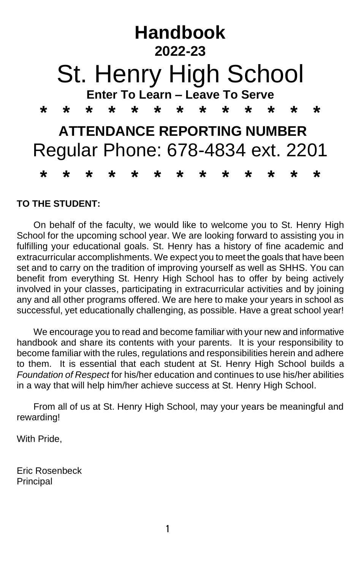

#### **TO THE STUDENT:**

On behalf of the faculty, we would like to welcome you to St. Henry High School for the upcoming school year. We are looking forward to assisting you in fulfilling your educational goals. St. Henry has a history of fine academic and extracurricular accomplishments. We expect you to meet the goals that have been set and to carry on the tradition of improving yourself as well as SHHS. You can benefit from everything St. Henry High School has to offer by being actively involved in your classes, participating in extracurricular activities and by joining any and all other programs offered. We are here to make your years in school as successful, yet educationally challenging, as possible. Have a great school year!

We encourage you to read and become familiar with your new and informative handbook and share its contents with your parents. It is your responsibility to become familiar with the rules, regulations and responsibilities herein and adhere to them. It is essential that each student at St. Henry High School builds a *Foundation of Respect* for his/her education and continues to use his/her abilities in a way that will help him/her achieve success at St. Henry High School.

From all of us at St. Henry High School, may your years be meaningful and rewarding!

With Pride,

Eric Rosenbeck Principal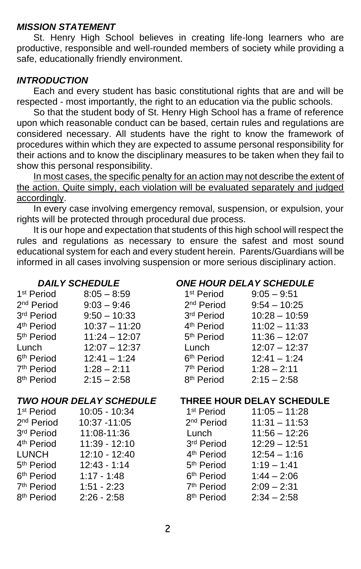#### *MISSION STATEMENT*

St. Henry High School believes in creating life-long learners who are productive, responsible and well-rounded members of society while providing a safe, educationally friendly environment.

#### *INTRODUCTION*

Each and every student has basic constitutional rights that are and will be respected - most importantly, the right to an education via the public schools.

So that the student body of St. Henry High School has a frame of reference upon which reasonable conduct can be based, certain rules and regulations are considered necessary. All students have the right to know the framework of procedures within which they are expected to assume personal responsibility for their actions and to know the disciplinary measures to be taken when they fail to show this personal responsibility.

In most cases, the specific penalty for an action may not describe the extent of the action. Quite simply, each violation will be evaluated separately and judged accordingly.

In every case involving emergency removal, suspension, or expulsion, your rights will be protected through procedural due process.

It is our hope and expectation that students of this high school will respect the rules and regulations as necessary to ensure the safest and most sound educational system for each and every student herein. Parents/Guardians will be informed in all cases involving suspension or more serious disciplinary action.

| 1 <sup>st</sup> Period | $8:05 - 8:59$   | 1 <sup>st</sup> Period | $9:05 - 9:51$   |
|------------------------|-----------------|------------------------|-----------------|
| 2 <sup>nd</sup> Period | $9:03 - 9:46$   | 2 <sup>nd</sup> Period | $9:54 - 10:25$  |
| 3rd Period             | $9:50 - 10:33$  | 3rd Period             | $10:28 - 10:59$ |
| 4 <sup>th</sup> Period | $10:37 - 11:20$ | 4 <sup>th</sup> Period | $11:02 - 11:33$ |
| 5 <sup>th</sup> Period | $11:24 - 12:07$ | 5 <sup>th</sup> Period | $11:36 - 12:07$ |
| Lunch                  | $12:07 - 12:37$ | Lunch                  | $12:07 - 12:37$ |
| 6 <sup>th</sup> Period | $12:41 - 1:24$  | 6 <sup>th</sup> Period | $12:41 - 1:24$  |
| 7 <sup>th</sup> Period | $1:28 - 2:11$   | 7 <sup>th</sup> Period | $1:28 - 2:11$   |
| 8 <sup>th</sup> Period | $2:15 - 2:58$   | 8 <sup>th</sup> Period | $2:15 - 2:58$   |

| 1 <sup>st</sup> Period | 10:05 - 10:34  | 1 |
|------------------------|----------------|---|
| 2 <sup>nd</sup> Period | 10:37 - 11:05  | 2 |
| 3rd Period             | 11:08-11:36    | L |
| 4 <sup>th</sup> Period | 11:39 - 12:10  | 3 |
| LUNCH                  | 12:10 - 12:40  | 4 |
| 5 <sup>th</sup> Period | $12:43 - 1:14$ | 5 |
| 6 <sup>th</sup> Period | $1:17 - 1:48$  | 6 |
| 7 <sup>th</sup> Period | $1:51 - 2:23$  | 7 |
| 8 <sup>th</sup> Period | $2:26 - 2:58$  | 8 |

#### *DAILY SCHEDULE ONE HOUR DELAY SCHEDULE*

| 1 <sup>st</sup> Period | $9:05 - 9:51$   |
|------------------------|-----------------|
| 2 <sup>nd</sup> Period | $9:54 - 10:25$  |
| 3rd Period             | $10:28 - 10:59$ |
| 4 <sup>th</sup> Period | $11:02 - 11:33$ |
| 5 <sup>th</sup> Period | $11:36 - 12:07$ |
| Lunch                  | $12:07 - 12:37$ |
| 6 <sup>th</sup> Period | $12:41 - 1:24$  |
| 7 <sup>th</sup> Period | $1:28 - 2:11$   |
| 8 <sup>th</sup> Period | $2:15 - 2:58$   |

#### *TWO HOUR DELAY SCHEDULE* **THREE HOUR DELAY SCHEDULE**

| st Period            | 10:05 - 10:34   | 1 <sup>st</sup> Period | $11:05 - 11:28$ |
|----------------------|-----------------|------------------------|-----------------|
| <sup>nd</sup> Period | 10:37 - 11:05   | 2 <sup>nd</sup> Period | $11:31 - 11:53$ |
| <sup>rd</sup> Period | 11:08-11:36     | Lunch                  | $11:56 - 12:26$ |
| <sup>th</sup> Period | $11:39 - 12:10$ | 3rd Period             | $12:29 - 12:51$ |
| UNCH                 | $12:10 - 12:40$ | 4 <sup>th</sup> Period | $12:54 - 1:16$  |
| <sup>th</sup> Period | $12:43 - 1:14$  | 5 <sup>th</sup> Period | $1:19 - 1:41$   |
| <sup>th</sup> Period | $1:17 - 1:48$   | 6 <sup>th</sup> Period | $1:44 - 2:06$   |
| <sup>th</sup> Period | $1:51 - 2:23$   | 7 <sup>th</sup> Period | $2:09 - 2:31$   |
| <sup>th</sup> Period | $2:26 - 2:58$   | 8 <sup>th</sup> Period | $2:34 - 2:58$   |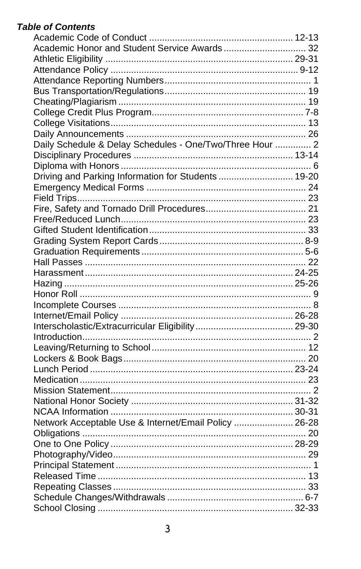# **Table of Contents**

| Daily Schedule & Delay Schedules - One/Two/Three Hour  2 |  |
|----------------------------------------------------------|--|
|                                                          |  |
|                                                          |  |
| Driving and Parking Information for Students  19-20      |  |
|                                                          |  |
|                                                          |  |
|                                                          |  |
|                                                          |  |
|                                                          |  |
|                                                          |  |
|                                                          |  |
|                                                          |  |
|                                                          |  |
|                                                          |  |
|                                                          |  |
|                                                          |  |
|                                                          |  |
|                                                          |  |
|                                                          |  |
|                                                          |  |
|                                                          |  |
|                                                          |  |
|                                                          |  |
|                                                          |  |
|                                                          |  |
|                                                          |  |
| Network Acceptable Use & Internet/Email Policy  26-28    |  |
|                                                          |  |
|                                                          |  |
|                                                          |  |
|                                                          |  |
|                                                          |  |
|                                                          |  |
|                                                          |  |
|                                                          |  |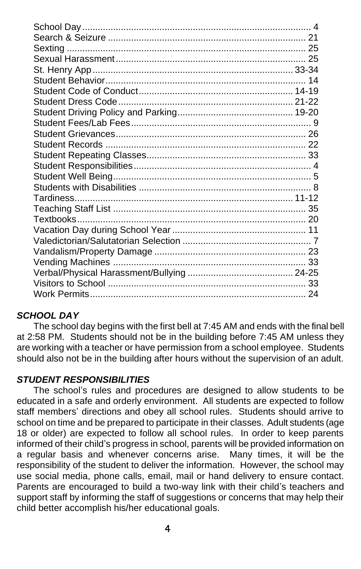#### *SCHOOL DAY*

The school day begins with the first bell at 7:45 AM and ends with the final bell at 2:58 PM. Students should not be in the building before 7:45 AM unless they are working with a teacher or have permission from a school employee. Students should also not be in the building after hours without the supervision of an adult.

#### *STUDENT RESPONSIBILITIES*

The school's rules and procedures are designed to allow students to be educated in a safe and orderly environment. All students are expected to follow staff members' directions and obey all school rules. Students should arrive to school on time and be prepared to participate in their classes. Adult students (age 18 or older) are expected to follow all school rules. In order to keep parents informed of their child's progress in school, parents will be provided information on a regular basis and whenever concerns arise. Many times, it will be the responsibility of the student to deliver the information. However, the school may use social media, phone calls, email, mail or hand delivery to ensure contact. Parents are encouraged to build a two-way link with their child's teachers and support staff by informing the staff of suggestions or concerns that may help their child better accomplish his/her educational goals.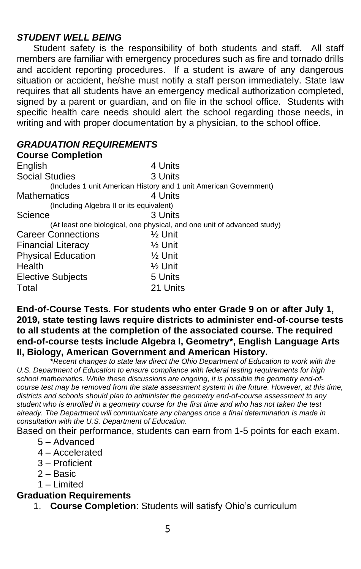#### *STUDENT WELL BEING*

Student safety is the responsibility of both students and staff. All staff members are familiar with emergency procedures such as fire and tornado drills and accident reporting procedures. If a student is aware of any dangerous situation or accident, he/she must notify a staff person immediately. State law requires that all students have an emergency medical authorization completed, signed by a parent or guardian, and on file in the school office. Students with specific health care needs should alert the school regarding those needs, in writing and with proper documentation by a physician, to the school office.

## *GRADUATION REQUIREMENTS*

| <b>Course Completion</b>                 |                                                                         |
|------------------------------------------|-------------------------------------------------------------------------|
| English                                  | 4 Units                                                                 |
| <b>Social Studies</b>                    | 3 Units                                                                 |
|                                          | (Includes 1 unit American History and 1 unit American Government)       |
| Mathematics                              | 4 Units                                                                 |
| (Including Algebra II or its equivalent) |                                                                         |
| Science                                  | 3 Units                                                                 |
|                                          | (At least one biological, one physical, and one unit of advanced study) |
| <b>Career Connections</b>                | $\frac{1}{2}$ Unit                                                      |
| <b>Financial Literacy</b>                | $\frac{1}{2}$ Unit                                                      |
| <b>Physical Education</b>                | $\frac{1}{2}$ Unit                                                      |
| Health                                   | $\frac{1}{2}$ Unit                                                      |
| <b>Elective Subjects</b>                 | 5 Units                                                                 |
| Total                                    | 21 Units                                                                |

#### **End-of-Course Tests. For students who enter Grade 9 on or after July 1, 2019, state testing laws require districts to administer end-of-course tests to all students at the completion of the associated course. The required end-of-course tests include Algebra I, Geometry\*, English Language Arts II, Biology, American Government and American History.**

**\****Recent changes to state law direct the Ohio Department of Education to work with the U.S. Department of Education to ensure compliance with federal testing requirements for high school mathematics. While these discussions are ongoing, it is possible the geometry end-ofcourse test may be removed from the state assessment system in the future. However, at this time, districts and schools should plan to administer the geometry end-of-course assessment to any student who is enrolled in a geometry course for the first time and who has not taken the test already. The Department will communicate any changes once a final determination is made in consultation with the U.S. Department of Education.*

Based on their performance, students can earn from 1-5 points for each exam.

- 5 Advanced
- 4 Accelerated
- 3 Proficient
- 2 Basic
- 1 Limited

### **Graduation Requirements**

1. **Course Completion**: Students will satisfy Ohio's curriculum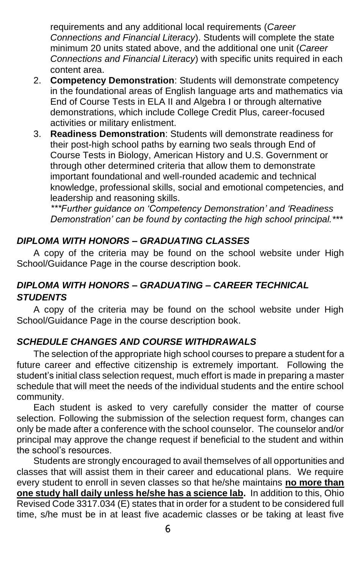requirements and any additional local requirements (*Career Connections and Financial Literacy*). Students will complete the state minimum 20 units stated above, and the additional one unit (*Career Connections and Financial Literacy*) with specific units required in each content area.

- 2. **Competency Demonstration**: Students will demonstrate competency in the foundational areas of English language arts and mathematics via End of Course Tests in ELA II and Algebra I or through alternative demonstrations, which include College Credit Plus, career-focused activities or military enlistment.
- 3. **Readiness Demonstration**: Students will demonstrate readiness for their post-high school paths by earning two seals through End of Course Tests in Biology, American History and U.S. Government or through other determined criteria that allow them to demonstrate important foundational and well-rounded academic and technical knowledge, professional skills, social and emotional competencies, and leadership and reasoning skills.

*\*\*\*Further guidance on 'Competency Demonstration' and 'Readiness Demonstration' can be found by contacting the high school principal.\*\*\** 

## *DIPLOMA WITH HONORS – GRADUATING CLASSES*

A copy of the criteria may be found on the school website under High School/Guidance Page in the course description book.

## *DIPLOMA WITH HONORS – GRADUATING – CAREER TECHNICAL STUDENTS*

A copy of the criteria may be found on the school website under High School/Guidance Page in the course description book.

#### *SCHEDULE CHANGES AND COURSE WITHDRAWALS*

The selection of the appropriate high school courses to prepare a student for a future career and effective citizenship is extremely important. Following the student's initial class selection request, much effort is made in preparing a master schedule that will meet the needs of the individual students and the entire school community.

Each student is asked to very carefully consider the matter of course selection. Following the submission of the selection request form, changes can only be made after a conference with the school counselor. The counselor and/or principal may approve the change request if beneficial to the student and within the school's resources.

Students are strongly encouraged to avail themselves of all opportunities and classes that will assist them in their career and educational plans. We require every student to enroll in seven classes so that he/she maintains **no more than one study hall daily unless he/she has a science lab.** In addition to this, Ohio Revised Code 3317.034 (E) states that in order for a student to be considered full time, s/he must be in at least five academic classes or be taking at least five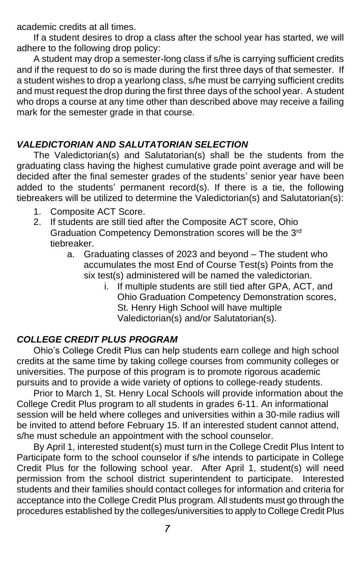academic credits at all times.

If a student desires to drop a class after the school year has started, we will adhere to the following drop policy:

A student may drop a semester-long class if s/he is carrying sufficient credits and if the request to do so is made during the first three days of that semester. If a student wishes to drop a yearlong class, s/he must be carrying sufficient credits and must request the drop during the first three days of the school year. A student who drops a course at any time other than described above may receive a failing mark for the semester grade in that course.

## *VALEDICTORIAN AND SALUTATORIAN SELECTION*

The Valedictorian(s) and Salutatorian(s) shall be the students from the graduating class having the highest cumulative grade point average and will be decided after the final semester grades of the students' senior year have been added to the students' permanent record(s). If there is a tie, the following tiebreakers will be utilized to determine the Valedictorian(s) and Salutatorian(s):

- 1. Composite ACT Score.
- 2. If students are still tied after the Composite ACT score, Ohio Graduation Competency Demonstration scores will be the 3rd tiebreaker.
	- a. Graduating classes of 2023 and beyond The student who accumulates the most End of Course Test(s) Points from the six test(s) administered will be named the valedictorian.
		- i. If multiple students are still tied after GPA, ACT, and Ohio Graduation Competency Demonstration scores, St. Henry High School will have multiple Valedictorian(s) and/or Salutatorian(s).

## *COLLEGE CREDIT PLUS PROGRAM*

Ohio's College Credit Plus can help students earn college and high school credits at the same time by taking college courses from community colleges or universities. The purpose of this program is to promote rigorous academic pursuits and to provide a wide variety of options to college-ready students.

Prior to March 1, St. Henry Local Schools will provide information about the College Credit Plus program to all students in grades 6-11. An informational session will be held where colleges and universities within a 30-mile radius will be invited to attend before February 15. If an interested student cannot attend, s/he must schedule an appointment with the school counselor.

By April 1, interested student(s) must turn in the College Credit Plus Intent to Participate form to the school counselor if s/he intends to participate in College Credit Plus for the following school year. After April 1, student(s) will need permission from the school district superintendent to participate. Interested students and their families should contact colleges for information and criteria for acceptance into the College Credit Plus program. All students must go through the procedures established by the colleges/universities to apply to College Credit Plus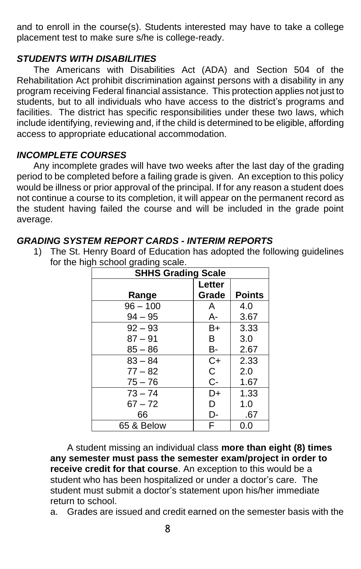and to enroll in the course(s). Students interested may have to take a college placement test to make sure s/he is college-ready.

#### *STUDENTS WITH DISABILITIES*

The Americans with Disabilities Act (ADA) and Section 504 of the Rehabilitation Act prohibit discrimination against persons with a disability in any program receiving Federal financial assistance. This protection applies not just to students, but to all individuals who have access to the district's programs and facilities. The district has specific responsibilities under these two laws, which include identifying, reviewing and, if the child is determined to be eligible, affording access to appropriate educational accommodation.

#### *INCOMPLETE COURSES*

Any incomplete grades will have two weeks after the last day of the grading period to be completed before a failing grade is given. An exception to this policy would be illness or prior approval of the principal. If for any reason a student does not continue a course to its completion, it will appear on the permanent record as the student having failed the course and will be included in the grade point average.

#### *GRADING SYSTEM REPORT CARDS - INTERIM REPORTS*

1) The St. Henry Board of Education has adopted the following guidelines for the high school grading scale.

| <b>SHHS Grading Scale</b> |        |               |
|---------------------------|--------|---------------|
|                           | Letter |               |
| Range                     | Grade  | <b>Points</b> |
| $96 - 100$                | A      | 4.0           |
| $94 - 95$                 | А-     | 3.67          |
| $92 - 93$                 | B+     | 3.33          |
| $87 - 91$                 | B      | 3.0           |
| $85 - 86$                 | В-     | 2.67          |
| $83 - 84$                 | $C+$   | 2.33          |
| $77 - 82$                 | C.     | 2.0           |
| $75 - 76$                 | C-     | 1.67          |
| $73 - 74$                 | D+     | 1.33          |
| $67 - 72$                 | D      | 1.0           |
| 66                        | D-     | .67           |
| 65 & Below                | F      | 0.0           |

A student missing an individual class **more than eight (8) times any semester must pass the semester exam/project in order to receive credit for that course**. An exception to this would be a student who has been hospitalized or under a doctor's care. The student must submit a doctor's statement upon his/her immediate return to school.

a. Grades are issued and credit earned on the semester basis with the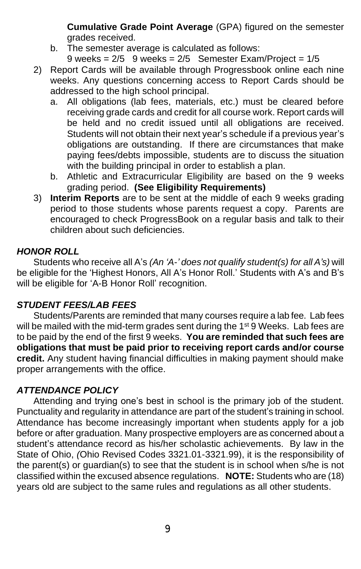**Cumulative Grade Point Average** (GPA) figured on the semester grades received.

b. The semester average is calculated as follows:

9 weeks =  $2/5$  9 weeks =  $2/5$  Semester Exam/Project =  $1/5$ 

- 2) Report Cards will be available through Progressbook online each nine weeks. Any questions concerning access to Report Cards should be addressed to the high school principal.
	- a. All obligations (lab fees, materials, etc.) must be cleared before receiving grade cards and credit for all course work. Report cards will be held and no credit issued until all obligations are received. Students will not obtain their next year's schedule if a previous year's obligations are outstanding.If there are circumstances that make paying fees/debts impossible, students are to discuss the situation with the building principal in order to establish a plan.
	- b. Athletic and Extracurricular Eligibility are based on the 9 weeks grading period. **(See Eligibility Requirements)**
- 3) **Interim Reports** are to be sent at the middle of each 9 weeks grading period to those students whose parents request a copy. Parents are encouraged to check ProgressBook on a regular basis and talk to their children about such deficiencies.

#### *HONOR ROLL*

Students who receive all A's *(An 'A-' does not qualify student(s) for all A's)* will be eligible for the 'Highest Honors, All A's Honor Roll.' Students with A's and B's will be eligible for 'A-B Honor Roll' recognition.

#### *STUDENT FEES/LAB FEES*

Students/Parents are reminded that many courses require a lab fee. Lab fees will be mailed with the mid-term grades sent during the 1<sup>st</sup> 9 Weeks. Lab fees are to be paid by the end of the first 9 weeks. **You are reminded that such fees are obligations that must be paid prior to receiving report cards and/or course credit.** Any student having financial difficulties in making payment should make proper arrangements with the office.

#### *ATTENDANCE POLICY*

Attending and trying one's best in school is the primary job of the student. Punctuality and regularity in attendance are part of the student's training in school. Attendance has become increasingly important when students apply for a job before or after graduation. Many prospective employers are as concerned about a student's attendance record as his/her scholastic achievements. By law in the State of Ohio, *(*Ohio Revised Codes 3321.01-3321.99), it is the responsibility of the parent(s) or guardian(s) to see that the student is in school when s/he is not classified within the excused absence regulations. **NOTE:** Students who are (18) years old are subject to the same rules and regulations as all other students.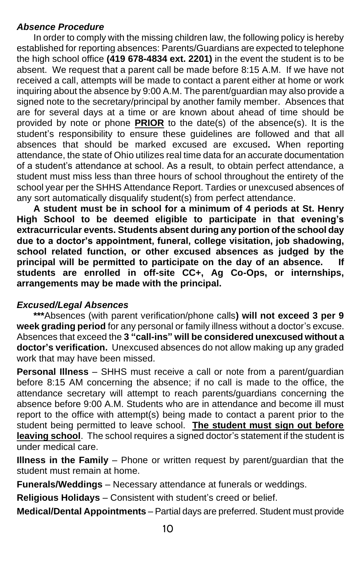#### *Absence Procedure*

In order to comply with the missing children law, the following policy is hereby established for reporting absences: Parents/Guardians are expected to telephone the high school office **(419 678-4834 ext. 2201)** in the event the student is to be absent. We request that a parent call be made before 8:15 A.M. If we have not received a call, attempts will be made to contact a parent either at home or work inquiring about the absence by 9:00 A.M. The parent/guardian may also provide a signed note to the secretary/principal by another family member. Absences that are for several days at a time or are known about ahead of time should be provided by note or phone **PRIOR** to the date(s) of the absence(s). It is the student's responsibility to ensure these guidelines are followed and that all absences that should be marked excused are excused**.** When reporting attendance, the state of Ohio utilizes real time data for an accurate documentation of a student's attendance at school. As a result, to obtain perfect attendance, a student must miss less than three hours of school throughout the entirety of the school year per the SHHS Attendance Report. Tardies or unexcused absences of any sort automatically disqualify student(s) from perfect attendance.

**A student must be in school for a minimum of 4 periods at St. Henry High School to be deemed eligible to participate in that evening's extracurricular events. Students absent during any portion of the school day due to a doctor's appointment, funeral, college visitation, job shadowing, school related function, or other excused absences as judged by the principal will be permitted to participate on the day of an absence. If students are enrolled in off-site CC+, Ag Co-Ops, or internships, arrangements may be made with the principal.** 

#### *Excused/Legal Absences*

**\*\*\***Absences (with parent verification/phone calls**) will not exceed 3 per 9 week grading period** for any personal or family illness without a doctor's excuse. Absences that exceed the **3 "call-ins" will be considered unexcused without a doctor's verification.** Unexcused absences do not allow making up any graded work that may have been missed.

**Personal Illness** – SHHS must receive a call or note from a parent/guardian before 8:15 AM concerning the absence; if no call is made to the office, the attendance secretary will attempt to reach parents/guardians concerning the absence before 9:00 A.M. Students who are in attendance and become ill must report to the office with attempt(s) being made to contact a parent prior to the student being permitted to leave school. **The student must sign out before leaving school**. The school requires a signed doctor's statement if the student is under medical care.

**Illness in the Family** – Phone or written request by parent/guardian that the student must remain at home.

**Funerals/Weddings** – Necessary attendance at funerals or weddings.

**Religious Holidays** – Consistent with student's creed or belief.

**Medical/Dental Appointments** – Partial days are preferred. Student must provide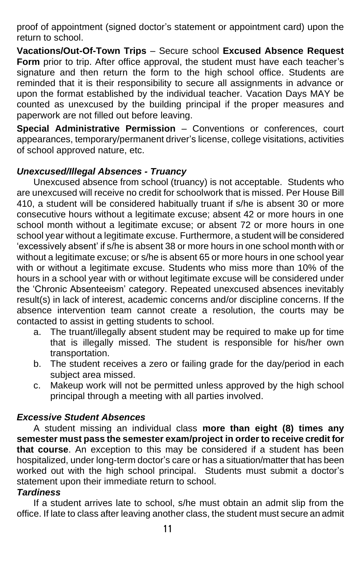proof of appointment (signed doctor's statement or appointment card) upon the return to school.

**Vacations/Out-Of-Town Trips** – Secure school **Excused Absence Request Form** prior to trip. After office approval, the student must have each teacher's signature and then return the form to the high school office. Students are reminded that it is their responsibility to secure all assignments in advance or upon the format established by the individual teacher. Vacation Days MAY be counted as unexcused by the building principal if the proper measures and paperwork are not filled out before leaving.

**Special Administrative Permission** – Conventions or conferences, court appearances, temporary/permanent driver's license, college visitations, activities of school approved nature, etc.

#### *Unexcused/Illegal Absences - Truancy*

Unexcused absence from school (truancy) is not acceptable. Students who are unexcused will receive no credit for schoolwork that is missed. Per House Bill 410, a student will be considered habitually truant if s/he is absent 30 or more consecutive hours without a legitimate excuse; absent 42 or more hours in one school month without a legitimate excuse; or absent 72 or more hours in one school year without a legitimate excuse. Furthermore, a student will be considered 'excessively absent' if s/he is absent 38 or more hours in one school month with or without a legitimate excuse; or s/he is absent 65 or more hours in one school year with or without a legitimate excuse. Students who miss more than 10% of the hours in a school year with or without legitimate excuse will be considered under the 'Chronic Absenteeism' category. Repeated unexcused absences inevitably result(s) in lack of interest, academic concerns and/or discipline concerns. If the absence intervention team cannot create a resolution, the courts may be contacted to assist in getting students to school.

- a. The truant/illegally absent student may be required to make up for time that is illegally missed. The student is responsible for his/her own transportation.
- b. The student receives a zero or failing grade for the day/period in each subject area missed.
- c. Makeup work will not be permitted unless approved by the high school principal through a meeting with all parties involved.

#### *Excessive Student Absences*

A student missing an individual class **more than eight (8) times any semester must pass the semester exam/project in order to receive credit for that course**. An exception to this may be considered if a student has been hospitalized, under long-term doctor's care or has a situation/matter that has been worked out with the high school principal. Students must submit a doctor's statement upon their immediate return to school.

#### *Tardiness*

If a student arrives late to school, s/he must obtain an admit slip from the office. If late to class after leaving another class, the student must secure an admit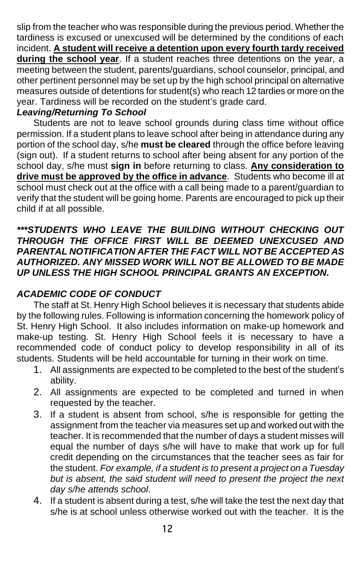slip from the teacher who was responsible during the previous period. Whether the tardiness is excused or unexcused will be determined by the conditions of each incident. **A student will receive a detention upon every fourth tardy received during the school year**. If a student reaches three detentions on the year, a meeting between the student, parents/guardians, school counselor, principal, and other pertinent personnel may be set up by the high school principal on alternative measures outside of detentions for student(s) who reach 12 tardies or more on the year. Tardiness will be recorded on the student's grade card.

## *Leaving/Returning To School*

Students are not to leave school grounds during class time without office permission. If a student plans to leave school after being in attendance during any portion of the school day, s/he **must be cleared** through the office before leaving (sign out). If a student returns to school after being absent for any portion of the school day, s/he must **sign in** before returning to class. **Any consideration to drive must be approved by the office in advance**. Students who become ill at school must check out at the office with a call being made to a parent/guardian to verify that the student will be going home. Parents are encouraged to pick up their child if at all possible.

#### *\*\*\*STUDENTS WHO LEAVE THE BUILDING WITHOUT CHECKING OUT THROUGH THE OFFICE FIRST WILL BE DEEMED UNEXCUSED AND PARENTAL NOTIFICATION AFTER THE FACT WILL NOT BE ACCEPTED AS AUTHORIZED. ANY MISSED WORK WILL NOT BE ALLOWED TO BE MADE UP UNLESS THE HIGH SCHOOL PRINCIPAL GRANTS AN EXCEPTION.*

## *ACADEMIC CODE OF CONDUCT*

The staff at St. Henry High School believes it is necessary that students abide by the following rules. Following is information concerning the homework policy of St. Henry High School. It also includes information on make-up homework and make-up testing. St. Henry High School feels it is necessary to have a recommended code of conduct policy to develop responsibility in all of its students. Students will be held accountable for turning in their work on time.

- 1. All assignments are expected to be completed to the best of the student's ability.
- 2. All assignments are expected to be completed and turned in when requested by the teacher.
- 3. If a student is absent from school, s/he is responsible for getting the assignment from the teacher via measures set up and worked out with the teacher. It is recommended that the number of days a student misses will equal the number of days s/he will have to make that work up for full credit depending on the circumstances that the teacher sees as fair for the student. *For example, if a student is to present a project on a Tuesday but is absent, the said student will need to present the project the next day s/he attends school*.
- 4. If a student is absent during a test, s/he will take the test the next day that s/he is at school unless otherwise worked out with the teacher. It is the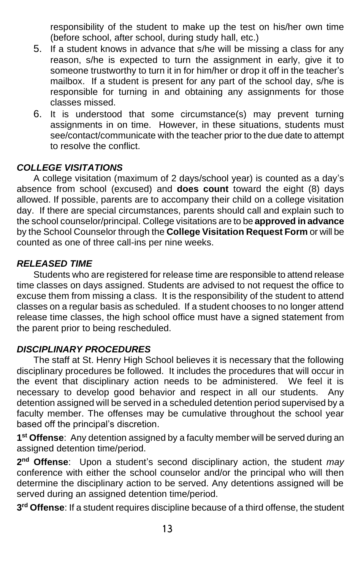responsibility of the student to make up the test on his/her own time (before school, after school, during study hall, etc.)

- 5. If a student knows in advance that s/he will be missing a class for any reason, s/he is expected to turn the assignment in early, give it to someone trustworthy to turn it in for him/her or drop it off in the teacher's mailbox. If a student is present for any part of the school day, s/he is responsible for turning in and obtaining any assignments for those classes missed.
- 6. It is understood that some circumstance(s) may prevent turning assignments in on time. However, in these situations, students must see/contact/communicate with the teacher prior to the due date to attempt to resolve the conflict.

#### *COLLEGE VISITATIONS*

A college visitation (maximum of 2 days/school year) is counted as a day's absence from school (excused) and **does count** toward the eight (8) days allowed. If possible, parents are to accompany their child on a college visitation day. If there are special circumstances, parents should call and explain such to the school counselor/principal. College visitations are to be **approved in advance** by the School Counselor through the **College Visitation Request Form** or will be counted as one of three call-ins per nine weeks.

#### *RELEASED TIME*

Students who are registered for release time are responsible to attend release time classes on days assigned. Students are advised to not request the office to excuse them from missing a class. It is the responsibility of the student to attend classes on a regular basis as scheduled. If a student chooses to no longer attend release time classes, the high school office must have a signed statement from the parent prior to being rescheduled.

#### *DISCIPLINARY PROCEDURES*

The staff at St. Henry High School believes it is necessary that the following disciplinary procedures be followed. It includes the procedures that will occur in the event that disciplinary action needs to be administered. We feel it is necessary to develop good behavior and respect in all our students. Any detention assigned will be served in a scheduled detention period supervised by a faculty member. The offenses may be cumulative throughout the school year based off the principal's discretion.

**1 st Offense**: Any detention assigned by a faculty member will be served during an assigned detention time/period.

**2 nd Offense**: Upon a student's second disciplinary action, the student *may* conference with either the school counselor and/or the principal who will then determine the disciplinary action to be served. Any detentions assigned will be served during an assigned detention time/period.

**3 rd Offense**: If a student requires discipline because of a third offense, the student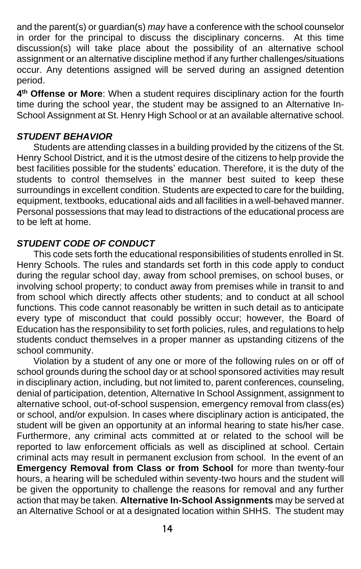and the parent(s) or guardian(s) *may* have a conference with the school counselor in order for the principal to discuss the disciplinary concerns. At this time discussion(s) will take place about the possibility of an alternative school assignment or an alternative discipline method if any further challenges/situations occur. Any detentions assigned will be served during an assigned detention period.

**4 th Offense or More**: When a student requires disciplinary action for the fourth time during the school year, the student may be assigned to an Alternative In-School Assignment at St. Henry High School or at an available alternative school.

#### *STUDENT BEHAVIOR*

Students are attending classes in a building provided by the citizens of the St. Henry School District, and it is the utmost desire of the citizens to help provide the best facilities possible for the students' education. Therefore, it is the duty of the students to control themselves in the manner best suited to keep these surroundings in excellent condition. Students are expected to care for the building, equipment, textbooks, educational aids and all facilities in a well-behaved manner. Personal possessions that may lead to distractions of the educational process are to be left at home.

#### *STUDENT CODE OF CONDUCT*

This code sets forth the educational responsibilities of students enrolled in St. Henry Schools. The rules and standards set forth in this code apply to conduct during the regular school day, away from school premises, on school buses, or involving school property; to conduct away from premises while in transit to and from school which directly affects other students; and to conduct at all school functions. This code cannot reasonably be written in such detail as to anticipate every type of misconduct that could possibly occur; however, the Board of Education has the responsibility to set forth policies, rules, and regulations to help students conduct themselves in a proper manner as upstanding citizens of the school community.

Violation by a student of any one or more of the following rules on or off of school grounds during the school day or at school sponsored activities may result in disciplinary action, including, but not limited to, parent conferences, counseling, denial of participation, detention, Alternative In School Assignment, assignment to alternative school, out-of-school suspension, emergency removal from class(es) or school, and/or expulsion. In cases where disciplinary action is anticipated, the student will be given an opportunity at an informal hearing to state his/her case. Furthermore, any criminal acts committed at or related to the school will be reported to law enforcement officials as well as disciplined at school. Certain criminal acts may result in permanent exclusion from school. In the event of an **Emergency Removal from Class or from School** for more than twenty-four hours, a hearing will be scheduled within seventy-two hours and the student will be given the opportunity to challenge the reasons for removal and any further action that may be taken. **Alternative In-School Assignments** may be served at an Alternative School or at a designated location within SHHS. The student may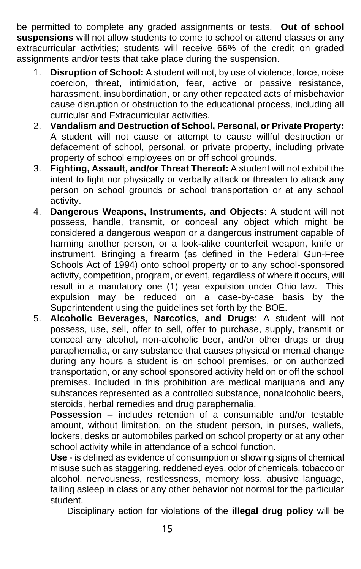be permitted to complete any graded assignments or tests. **Out of school suspensions** will not allow students to come to school or attend classes or any extracurricular activities; students will receive 66% of the credit on graded assignments and/or tests that take place during the suspension.

- 1. **Disruption of School:** A student will not, by use of violence, force, noise coercion, threat, intimidation, fear, active or passive resistance, harassment, insubordination, or any other repeated acts of misbehavior cause disruption or obstruction to the educational process, including all curricular and Extracurricular activities.
- 2. **Vandalism and Destruction of School, Personal, or Private Property:** A student will not cause or attempt to cause willful destruction or defacement of school, personal, or private property, including private property of school employees on or off school grounds.
- 3. **Fighting, Assault, and/or Threat Thereof:** A student will not exhibit the intent to fight nor physically or verbally attack or threaten to attack any person on school grounds or school transportation or at any school activity.
- 4. **Dangerous Weapons, Instruments, and Objects**: A student will not possess, handle, transmit, or conceal any object which might be considered a dangerous weapon or a dangerous instrument capable of harming another person, or a look-alike counterfeit weapon, knife or instrument. Bringing a firearm (as defined in the Federal Gun-Free Schools Act of 1994) onto school property or to any school-sponsored activity, competition, program, or event, regardless of where it occurs, will result in a mandatory one (1) year expulsion under Ohio law. This expulsion may be reduced on a case-by-case basis by the Superintendent using the guidelines set forth by the BOE.
- 5. **Alcoholic Beverages, Narcotics, and Drugs**: A student will not possess, use, sell, offer to sell, offer to purchase, supply, transmit or conceal any alcohol, non-alcoholic beer, and/or other drugs or drug paraphernalia, or any substance that causes physical or mental change during any hours a student is on school premises, or on authorized transportation, or any school sponsored activity held on or off the school premises. Included in this prohibition are medical marijuana and any substances represented as a controlled substance, nonalcoholic beers, steroids, herbal remedies and drug paraphernalia.

**Possession** – includes retention of a consumable and/or testable amount, without limitation, on the student person, in purses, wallets, lockers, desks or automobiles parked on school property or at any other school activity while in attendance of a school function.

**Use** - is defined as evidence of consumption or showing signs of chemical misuse such as staggering, reddened eyes, odor of chemicals, tobacco or alcohol, nervousness, restlessness, memory loss, abusive language, falling asleep in class or any other behavior not normal for the particular student.

Disciplinary action for violations of the **illegal drug policy** will be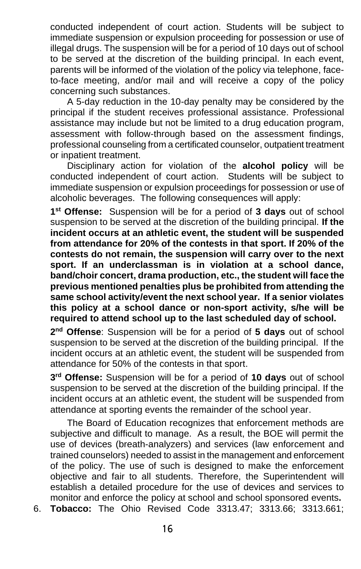conducted independent of court action. Students will be subject to immediate suspension or expulsion proceeding for possession or use of illegal drugs. The suspension will be for a period of 10 days out of school to be served at the discretion of the building principal. In each event, parents will be informed of the violation of the policy via telephone, faceto-face meeting, and/or mail and will receive a copy of the policy concerning such substances.

A 5-day reduction in the 10-day penalty may be considered by the principal if the student receives professional assistance. Professional assistance may include but not be limited to a drug education program, assessment with follow-through based on the assessment findings, professional counseling from a certificated counselor, outpatient treatment or inpatient treatment.

Disciplinary action for violation of the **alcohol policy** will be conducted independent of court action. Students will be subject to immediate suspension or expulsion proceedings for possession or use of alcoholic beverages. The following consequences will apply:

**1 st Offense:** Suspension will be for a period of **3 days** out of school suspension to be served at the discretion of the building principal. **If the incident occurs at an athletic event, the student will be suspended from attendance for 20% of the contests in that sport. If 20% of the contests do not remain, the suspension will carry over to the next sport. If an underclassman is in violation at a school dance, band/choir concert, drama production, etc., the student will face the previous mentioned penalties plus be prohibited from attending the same school activity/event the next school year. If a senior violates this policy at a school dance or non-sport activity, s/he will be required to attend school up to the last scheduled day of school.**

**2 nd Offense**: Suspension will be for a period of **5 days** out of school suspension to be served at the discretion of the building principal. If the incident occurs at an athletic event, the student will be suspended from attendance for 50% of the contests in that sport.

**3 rd Offense:** Suspension will be for a period of **10 days** out of school suspension to be served at the discretion of the building principal. If the incident occurs at an athletic event, the student will be suspended from attendance at sporting events the remainder of the school year.

The Board of Education recognizes that enforcement methods are subjective and difficult to manage. As a result, the BOE will permit the use of devices (breath-analyzers) and services (law enforcement and trained counselors) needed to assist in the management and enforcement of the policy. The use of such is designed to make the enforcement objective and fair to all students. Therefore, the Superintendent will establish a detailed procedure for the use of devices and services to monitor and enforce the policy at school and school sponsored events**.** 

6. **Tobacco:** The Ohio Revised Code 3313.47; 3313.66; 3313.661;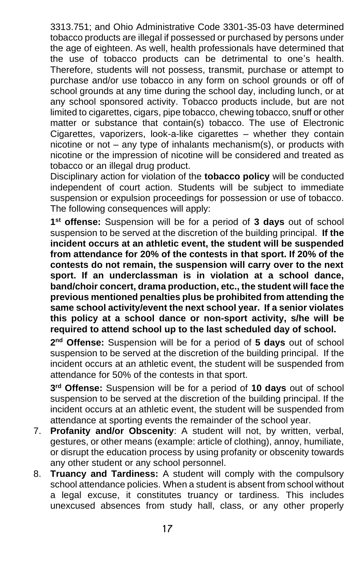3313.751; and Ohio Administrative Code 3301-35-03 have determined tobacco products are illegal if possessed or purchased by persons under the age of eighteen. As well, health professionals have determined that the use of tobacco products can be detrimental to one's health. Therefore, students will not possess, transmit, purchase or attempt to purchase and/or use tobacco in any form on school grounds or off of school grounds at any time during the school day, including lunch, or at any school sponsored activity. Tobacco products include, but are not limited to cigarettes, cigars, pipe tobacco, chewing tobacco, snuff or other matter or substance that contain(s) tobacco. The use of Electronic Cigarettes, vaporizers, look-a-like cigarettes – whether they contain nicotine or not – any type of inhalants mechanism(s), or products with nicotine or the impression of nicotine will be considered and treated as tobacco or an illegal drug product.

Disciplinary action for violation of the **tobacco policy** will be conducted independent of court action. Students will be subject to immediate suspension or expulsion proceedings for possession or use of tobacco. The following consequences will apply:

**1 st offense:** Suspension will be for a period of **3 days** out of school suspension to be served at the discretion of the building principal. **If the incident occurs at an athletic event, the student will be suspended from attendance for 20% of the contests in that sport. If 20% of the contests do not remain, the suspension will carry over to the next sport. If an underclassman is in violation at a school dance, band/choir concert, drama production, etc., the student will face the previous mentioned penalties plus be prohibited from attending the same school activity/event the next school year. If a senior violates this policy at a school dance or non-sport activity, s/he will be required to attend school up to the last scheduled day of school.**

**2 nd Offense:** Suspension will be for a period of **5 days** out of school suspension to be served at the discretion of the building principal. If the incident occurs at an athletic event, the student will be suspended from attendance for 50% of the contests in that sport.

**3 rd Offense:** Suspension will be for a period of **10 days** out of school suspension to be served at the discretion of the building principal. If the incident occurs at an athletic event, the student will be suspended from attendance at sporting events the remainder of the school year.

- 7. **Profanity and/or Obscenity**: A student will not, by written, verbal, gestures, or other means (example: article of clothing), annoy, humiliate, or disrupt the education process by using profanity or obscenity towards any other student or any school personnel.
- 8. **Truancy and Tardiness:** A student will comply with the compulsory school attendance policies. When a student is absent from school without a legal excuse, it constitutes truancy or tardiness. This includes unexcused absences from study hall, class, or any other properly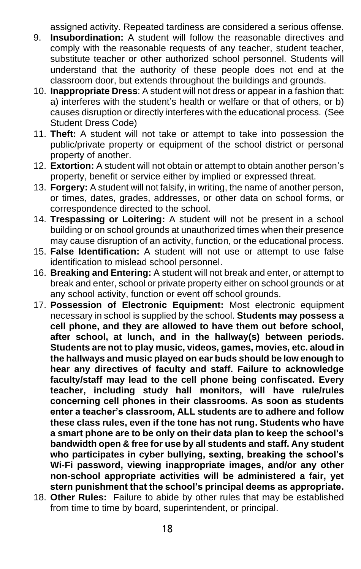assigned activity. Repeated tardiness are considered a serious offense.

- 9. **Insubordination:** A student will follow the reasonable directives and comply with the reasonable requests of any teacher, student teacher, substitute teacher or other authorized school personnel. Students will understand that the authority of these people does not end at the classroom door, but extends throughout the buildings and grounds.
- 10. **Inappropriate Dress**: A student will not dress or appear in a fashion that: a) interferes with the student's health or welfare or that of others, or b) causes disruption or directly interferes with the educational process. (See Student Dress Code)
- 11. **Theft:** A student will not take or attempt to take into possession the public/private property or equipment of the school district or personal property of another.
- 12. **Extortion:** A student will not obtain or attempt to obtain another person's property, benefit or service either by implied or expressed threat.
- 13. **Forgery:** A student will not falsify, in writing, the name of another person, or times, dates, grades, addresses, or other data on school forms, or correspondence directed to the school.
- 14. **Trespassing or Loitering:** A student will not be present in a school building or on school grounds at unauthorized times when their presence may cause disruption of an activity, function, or the educational process.
- 15. **False Identification:** A student will not use or attempt to use false identification to mislead school personnel.
- 16. **Breaking and Entering:** A student will not break and enter, or attempt to break and enter, school or private property either on school grounds or at any school activity, function or event off school grounds.
- 17. **Possession of Electronic Equipment:** Most electronic equipment necessary in school is supplied by the school. **Students may possess a cell phone, and they are allowed to have them out before school, after school, at lunch, and in the hallway(s) between periods. Students are not to play music, videos, games, movies, etc. aloud in the hallways and music played on ear buds should be low enough to hear any directives of faculty and staff. Failure to acknowledge faculty/staff may lead to the cell phone being confiscated. Every teacher, including study hall monitors, will have rule/rules concerning cell phones in their classrooms. As soon as students enter a teacher's classroom, ALL students are to adhere and follow these class rules, even if the tone has not rung. Students who have a smart phone are to be only on their data plan to keep the school's bandwidth open & free for use by all students and staff. Any student who participates in cyber bullying, sexting, breaking the school's Wi-Fi password, viewing inappropriate images, and/or any other non-school appropriate activities will be administered a fair, yet stern punishment that the school's principal deems as appropriate.**
- 18. **Other Rules:** Failure to abide by other rules that may be established from time to time by board, superintendent, or principal.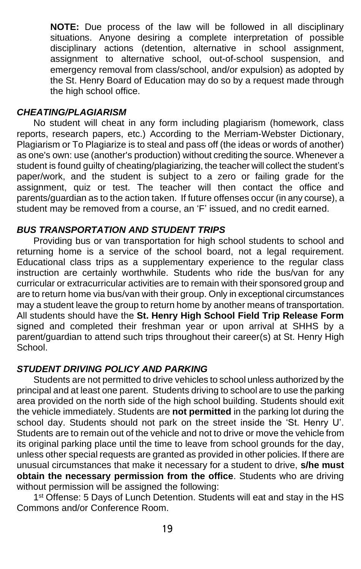**NOTE:** Due process of the law will be followed in all disciplinary situations. Anyone desiring a complete interpretation of possible disciplinary actions (detention, alternative in school assignment, assignment to alternative school, out-of-school suspension, and emergency removal from class/school, and/or expulsion) as adopted by the St. Henry Board of Education may do so by a request made through the high school office.

#### *CHEATING/PLAGIARISM*

No student will cheat in any form including plagiarism (homework, class reports, research papers, etc.) According to the Merriam-Webster Dictionary, Plagiarism or To Plagiarize is to steal and pass off (the ideas or words of another) as one's own: use (another's production) without crediting the source. Whenever a student is found guilty of cheating/plagiarizing, the teacher will collect the student's paper/work, and the student is subject to a zero or failing grade for the assignment, quiz or test. The teacher will then contact the office and parents/guardian as to the action taken. If future offenses occur (in any course), a student may be removed from a course, an 'F' issued, and no credit earned.

## *BUS TRANSPORTATION AND STUDENT TRIPS*

Providing bus or van transportation for high school students to school and returning home is a service of the school board, not a legal requirement. Educational class trips as a supplementary experience to the regular class instruction are certainly worthwhile. Students who ride the bus/van for any curricular or extracurricular activities are to remain with their sponsored group and are to return home via bus/van with their group. Only in exceptional circumstances may a student leave the group to return home by another means of transportation. All students should have the **St. Henry High School Field Trip Release Form** signed and completed their freshman year or upon arrival at SHHS by a parent/guardian to attend such trips throughout their career(s) at St. Henry High School.

#### *STUDENT DRIVING POLICY AND PARKING*

Students are not permitted to drive vehicles to school unless authorized by the principal and at least one parent. Students driving to school are to use the parking area provided on the north side of the high school building. Students should exit the vehicle immediately. Students are **not permitted** in the parking lot during the school day. Students should not park on the street inside the 'St. Henry U'. Students are to remain out of the vehicle and not to drive or move the vehicle from its original parking place until the time to leave from school grounds for the day, unless other special requests are granted as provided in other policies. If there are unusual circumstances that make it necessary for a student to drive, **s/he must obtain the necessary permission from the office**. Students who are driving without permission will be assigned the following:

1<sup>st</sup> Offense: 5 Days of Lunch Detention. Students will eat and stay in the HS Commons and/or Conference Room.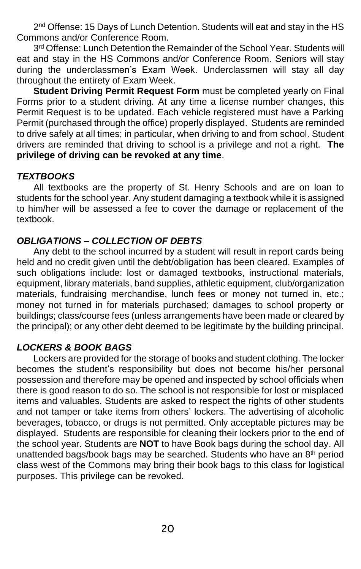2<sup>nd</sup> Offense: 15 Days of Lunch Detention. Students will eat and stay in the HS Commons and/or Conference Room.

3rd Offense: Lunch Detention the Remainder of the School Year. Students will eat and stay in the HS Commons and/or Conference Room. Seniors will stay during the underclassmen's Exam Week. Underclassmen will stay all day throughout the entirety of Exam Week.

**Student Driving Permit Request Form** must be completed yearly on Final Forms prior to a student driving. At any time a license number changes, this Permit Request is to be updated. Each vehicle registered must have a Parking Permit (purchased through the office) properly displayed. Students are reminded to drive safely at all times; in particular, when driving to and from school. Student drivers are reminded that driving to school is a privilege and not a right. **The privilege of driving can be revoked at any time**.

#### *TEXTBOOKS*

All textbooks are the property of St. Henry Schools and are on loan to students for the school year. Any student damaging a textbook while it is assigned to him/her will be assessed a fee to cover the damage or replacement of the textbook.

#### *OBLIGATIONS – COLLECTION OF DEBTS*

Any debt to the school incurred by a student will result in report cards being held and no credit given until the debt/obligation has been cleared. Examples of such obligations include: lost or damaged textbooks, instructional materials, equipment, library materials, band supplies, athletic equipment, club/organization materials, fundraising merchandise, lunch fees or money not turned in, etc.; money not turned in for materials purchased; damages to school property or buildings; class/course fees (unless arrangements have been made or cleared by the principal); or any other debt deemed to be legitimate by the building principal.

# *LOCKERS & BOOK BAGS*

Lockers are provided for the storage of books and student clothing. The locker becomes the student's responsibility but does not become his/her personal possession and therefore may be opened and inspected by school officials when there is good reason to do so. The school is not responsible for lost or misplaced items and valuables. Students are asked to respect the rights of other students and not tamper or take items from others' lockers. The advertising of alcoholic beverages, tobacco, or drugs is not permitted. Only acceptable pictures may be displayed. Students are responsible for cleaning their lockers prior to the end of the school year. Students are **NOT** to have Book bags during the school day. All unattended bags/book bags may be searched. Students who have an 8<sup>th</sup> period class west of the Commons may bring their book bags to this class for logistical purposes. This privilege can be revoked.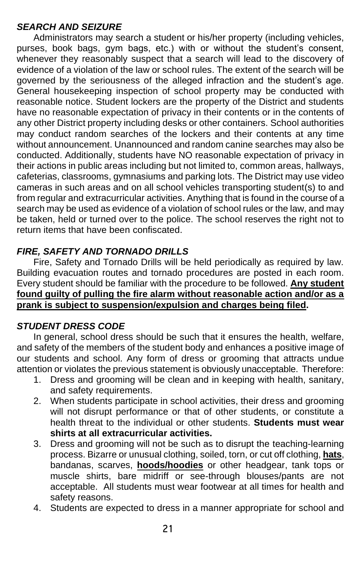## *SEARCH AND SEIZURE*

Administrators may search a student or his/her property (including vehicles, purses, book bags, gym bags, etc.) with or without the student's consent, whenever they reasonably suspect that a search will lead to the discovery of evidence of a violation of the law or school rules. The extent of the search will be governed by the seriousness of the alleged infraction and the student's age. General housekeeping inspection of school property may be conducted with reasonable notice. Student lockers are the property of the District and students have no reasonable expectation of privacy in their contents or in the contents of any other District property including desks or other containers. School authorities may conduct random searches of the lockers and their contents at any time without announcement. Unannounced and random canine searches may also be conducted. Additionally, students have NO reasonable expectation of privacy in their actions in public areas including but not limited to, common areas, hallways, cafeterias, classrooms, gymnasiums and parking lots. The District may use video cameras in such areas and on all school vehicles transporting student(s) to and from regular and extracurricular activities. Anything that is found in the course of a search may be used as evidence of a violation of school rules or the law, and may be taken, held or turned over to the police. The school reserves the right not to return items that have been confiscated.

## *FIRE, SAFETY AND TORNADO DRILLS*

Fire, Safety and Tornado Drills will be held periodically as required by law. Building evacuation routes and tornado procedures are posted in each room. Every student should be familiar with the procedure to be followed. **Any student found guilty of pulling the fire alarm without reasonable action and/or as a prank is subject to suspension/expulsion and charges being filed.**

#### *STUDENT DRESS CODE*

In general, school dress should be such that it ensures the health, welfare, and safety of the members of the student body and enhances a positive image of our students and school. Any form of dress or grooming that attracts undue attention or violates the previous statement is obviously unacceptable. Therefore:

- 1. Dress and grooming will be clean and in keeping with health, sanitary, and safety requirements.
- 2. When students participate in school activities, their dress and grooming will not disrupt performance or that of other students, or constitute a health threat to the individual or other students. **Students must wear shirts at all extracurricular activities.**
- 3. Dress and grooming will not be such as to disrupt the teaching-learning process. Bizarre or unusual clothing, soiled, torn, or cut off clothing, **hats**, bandanas, scarves, **hoods/hoodies** or other headgear, tank tops or muscle shirts, bare midriff or see-through blouses/pants are not acceptable. All students must wear footwear at all times for health and safety reasons.
- 4. Students are expected to dress in a manner appropriate for school and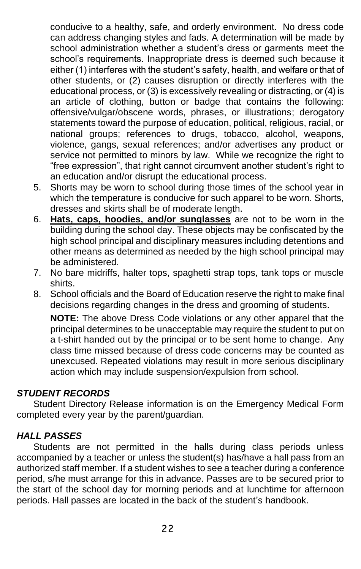conducive to a healthy, safe, and orderly environment. No dress code can address changing styles and fads. A determination will be made by school administration whether a student's dress or garments meet the school's requirements. Inappropriate dress is deemed such because it either (1) interferes with the student's safety, health, and welfare or that of other students, or (2) causes disruption or directly interferes with the educational process, or (3) is excessively revealing or distracting, or (4) is an article of clothing, button or badge that contains the following: offensive/vulgar/obscene words, phrases, or illustrations; derogatory statements toward the purpose of education, political, religious, racial, or national groups; references to drugs, tobacco, alcohol, weapons, violence, gangs, sexual references; and/or advertises any product or service not permitted to minors by law. While we recognize the right to "free expression", that right cannot circumvent another student's right to an education and/or disrupt the educational process.

- 5. Shorts may be worn to school during those times of the school year in which the temperature is conducive for such apparel to be worn. Shorts, dresses and skirts shall be of moderate length.
- 6. **Hats, caps, hoodies, and/or sunglasses** are not to be worn in the building during the school day. These objects may be confiscated by the high school principal and disciplinary measures including detentions and other means as determined as needed by the high school principal may be administered.
- 7. No bare midriffs, halter tops, spaghetti strap tops, tank tops or muscle shirts.
- 8. School officials and the Board of Education reserve the right to make final decisions regarding changes in the dress and grooming of students.

**NOTE:** The above Dress Code violations or any other apparel that the principal determines to be unacceptable may require the student to put on a t-shirt handed out by the principal or to be sent home to change. Any class time missed because of dress code concerns may be counted as unexcused. Repeated violations may result in more serious disciplinary action which may include suspension/expulsion from school.

#### *STUDENT RECORDS*

Student Directory Release information is on the Emergency Medical Form completed every year by the parent/guardian.

#### *HALL PASSES*

Students are not permitted in the halls during class periods unless accompanied by a teacher or unless the student(s) has/have a hall pass from an authorized staff member. If a student wishes to see a teacher during a conference period, s/he must arrange for this in advance. Passes are to be secured prior to the start of the school day for morning periods and at lunchtime for afternoon periods. Hall passes are located in the back of the student's handbook.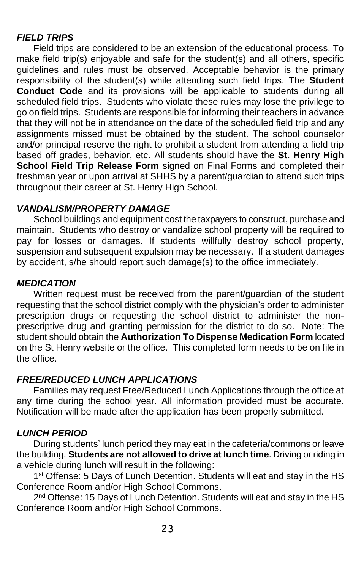#### *FIELD TRIPS*

Field trips are considered to be an extension of the educational process. To make field trip(s) enjoyable and safe for the student(s) and all others, specific guidelines and rules must be observed. Acceptable behavior is the primary responsibility of the student(s) while attending such field trips. The **Student Conduct Code** and its provisions will be applicable to students during all scheduled field trips. Students who violate these rules may lose the privilege to go on field trips. Students are responsible for informing their teachers in advance that they will not be in attendance on the date of the scheduled field trip and any assignments missed must be obtained by the student. The school counselor and/or principal reserve the right to prohibit a student from attending a field trip based off grades, behavior, etc. All students should have the **St. Henry High School Field Trip Release Form** signed on Final Forms and completed their freshman year or upon arrival at SHHS by a parent/guardian to attend such trips throughout their career at St. Henry High School.

#### *VANDALISM/PROPERTY DAMAGE*

School buildings and equipment cost the taxpayers to construct, purchase and maintain. Students who destroy or vandalize school property will be required to pay for losses or damages. If students willfully destroy school property, suspension and subsequent expulsion may be necessary. If a student damages by accident, s/he should report such damage(s) to the office immediately.

#### *MEDICATION*

Written request must be received from the parent/guardian of the student requesting that the school district comply with the physician's order to administer prescription drugs or requesting the school district to administer the nonprescriptive drug and granting permission for the district to do so. Note: The student should obtain the **Authorization To Dispense Medication Form** located on the St Henry website or the office. This completed form needs to be on file in the office.

## *FREE/REDUCED LUNCH APPLICATIONS*

Families may request Free/Reduced Lunch Applications through the office at any time during the school year. All information provided must be accurate. Notification will be made after the application has been properly submitted.

## *LUNCH PERIOD*

During students' lunch period they may eat in the cafeteria/commons or leave the building. **Students are not allowed to drive at lunch time**. Driving or riding in a vehicle during lunch will result in the following:

1<sup>st</sup> Offense: 5 Days of Lunch Detention. Students will eat and stay in the HS Conference Room and/or High School Commons.

2<sup>nd</sup> Offense: 15 Days of Lunch Detention. Students will eat and stay in the HS Conference Room and/or High School Commons.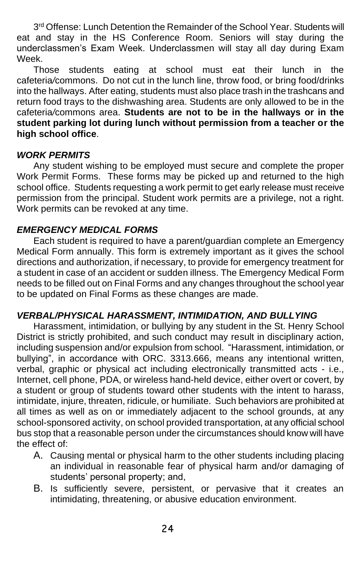3<sup>rd</sup> Offense: Lunch Detention the Remainder of the School Year. Students will eat and stay in the HS Conference Room. Seniors will stay during the underclassmen's Exam Week. Underclassmen will stay all day during Exam Week.

Those students eating at school must eat their lunch in the cafeteria*/*commons. Do not cut in the lunch line, throw food, or bring food/drinks into the hallways. After eating, students must also place trash in the trashcans and return food trays to the dishwashing area. Students are only allowed to be in the cafeteria*/*commons area. **Students are not to be in the hallways or in the student parking lot during lunch without permission from a teacher or the high school office**.

#### *WORK PERMITS*

Any student wishing to be employed must secure and complete the proper Work Permit Forms. These forms may be picked up and returned to the high school office. Students requesting a work permit to get early release must receive permission from the principal. Student work permits are a privilege, not a right. Work permits can be revoked at any time.

#### *EMERGENCY MEDICAL FORMS*

Each student is required to have a parent/guardian complete an Emergency Medical Form annually. This form is extremely important as it gives the school directions and authorization, if necessary, to provide for emergency treatment for a student in case of an accident or sudden illness. The Emergency Medical Form needs to be filled out on Final Forms and any changes throughout the school year to be updated on Final Forms as these changes are made.

#### *VERBAL/PHYSICAL HARASSMENT, INTIMIDATION, AND BULLYING*

Harassment, intimidation, or bullying by any student in the St. Henry School District is strictly prohibited, and such conduct may result in disciplinary action, including suspension and/or expulsion from school. "Harassment, intimidation, or bullying", in accordance with ORC. 3313.666, means any intentional written, verbal, graphic or physical act including electronically transmitted acts - i.e., Internet, cell phone, PDA, or wireless hand-held device, either overt or covert, by a student or group of students toward other students with the intent to harass, intimidate, injure, threaten, ridicule, or humiliate. Such behaviors are prohibited at all times as well as on or immediately adjacent to the school grounds, at any school-sponsored activity, on school provided transportation, at any official school bus stop that a reasonable person under the circumstances should know will have the effect of:

- A. Causing mental or physical harm to the other students including placing an individual in reasonable fear of physical harm and/or damaging of students' personal property; and,
- B. Is sufficiently severe, persistent, or pervasive that it creates an intimidating, threatening, or abusive education environment.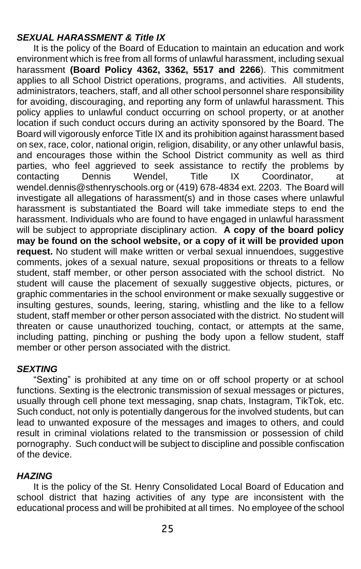#### *SEXUAL HARASSMENT & Title IX*

It is the policy of the Board of Education to maintain an education and work environment which is free from all forms of unlawful harassment, including sexual harassment **(Board Policy 4362, 3362, 5517 and 2266**). This commitment applies to all School District operations, programs, and activities. All students, administrators, teachers, staff, and all other school personnel share responsibility for avoiding, discouraging, and reporting any form of unlawful harassment. This policy applies to unlawful conduct occurring on school property, or at another location if such conduct occurs during an activity sponsored by the Board. The Board will vigorously enforce Title IX and its prohibition against harassment based on sex, race, color, national origin, religion, disability, or any other unlawful basis, and encourages those within the School District community as well as third parties, who feel aggrieved to seek assistance to rectify the problems by contacting Dennis Wendel, Title IX Coordinator, wendel.dennis@sthenryschools.org or (419) 678-4834 ext. 2203. The Board will investigate all allegations of harassment(s) and in those cases where unlawful harassment is substantiated the Board will take immediate steps to end the harassment. Individuals who are found to have engaged in unlawful harassment will be subject to appropriate disciplinary action. **A copy of the board policy may be found on the school website, or a copy of it will be provided upon request.** No student will make written or verbal sexual innuendoes, suggestive comments, jokes of a sexual nature, sexual propositions or threats to a fellow student, staff member, or other person associated with the school district. No student will cause the placement of sexually suggestive objects, pictures, or graphic commentaries in the school environment or make sexually suggestive or insulting gestures, sounds, leering, staring, whistling and the like to a fellow student, staff member or other person associated with the district. No student will threaten or cause unauthorized touching, contact, or attempts at the same, including patting, pinching or pushing the body upon a fellow student, staff member or other person associated with the district.

#### *SEXTING*

"Sexting" is prohibited at any time on or off school property or at school functions. Sexting is the electronic transmission of sexual messages or pictures, usually through cell phone text messaging, snap chats, Instagram, TikTok, etc. Such conduct, not only is potentially dangerous for the involved students, but can lead to unwanted exposure of the messages and images to others, and could result in criminal violations related to the transmission or possession of child pornography. Such conduct will be subject to discipline and possible confiscation of the device.

#### *HAZING*

It is the policy of the St. Henry Consolidated Local Board of Education and school district that hazing activities of any type are inconsistent with the educational process and will be prohibited at all times. No employee of the school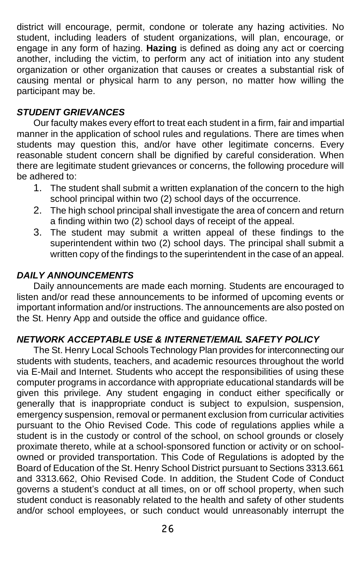district will encourage, permit, condone or tolerate any hazing activities. No student, including leaders of student organizations, will plan, encourage, or engage in any form of hazing. **Hazing** is defined as doing any act or coercing another, including the victim, to perform any act of initiation into any student organization or other organization that causes or creates a substantial risk of causing mental or physical harm to any person, no matter how willing the participant may be.

#### *STUDENT GRIEVANCES*

Our faculty makes every effort to treat each student in a firm, fair and impartial manner in the application of school rules and regulations. There are times when students may question this, and/or have other legitimate concerns. Every reasonable student concern shall be dignified by careful consideration. When there are legitimate student grievances or concerns, the following procedure will be adhered to:

- 1. The student shall submit a written explanation of the concern to the high school principal within two (2) school days of the occurrence.
- 2. The high school principal shall investigate the area of concern and return a finding within two (2) school days of receipt of the appeal.
- 3. The student may submit a written appeal of these findings to the superintendent within two (2) school days. The principal shall submit a written copy of the findings to the superintendent in the case of an appeal.

#### *DAILY ANNOUNCEMENTS*

Daily announcements are made each morning. Students are encouraged to listen and/or read these announcements to be informed of upcoming events or important information and/or instructions. The announcements are also posted on the St. Henry App and outside the office and guidance office.

#### *NETWORK ACCEPTABLE USE & INTERNET/EMAIL SAFETY POLICY*

The St. Henry Local Schools Technology Plan provides for interconnecting our students with students, teachers, and academic resources throughout the world via E-Mail and Internet. Students who accept the responsibilities of using these computer programs in accordance with appropriate educational standards will be given this privilege. Any student engaging in conduct either specifically or generally that is inappropriate conduct is subject to expulsion, suspension, emergency suspension, removal or permanent exclusion from curricular activities pursuant to the Ohio Revised Code. This code of regulations applies while a student is in the custody or control of the school, on school grounds or closely proximate thereto, while at a school-sponsored function or activity or on schoolowned or provided transportation. This Code of Regulations is adopted by the Board of Education of the St. Henry School District pursuant to Sections 3313.661 and 3313.662, Ohio Revised Code. In addition, the Student Code of Conduct governs a student's conduct at all times, on or off school property, when such student conduct is reasonably related to the health and safety of other students and/or school employees, or such conduct would unreasonably interrupt the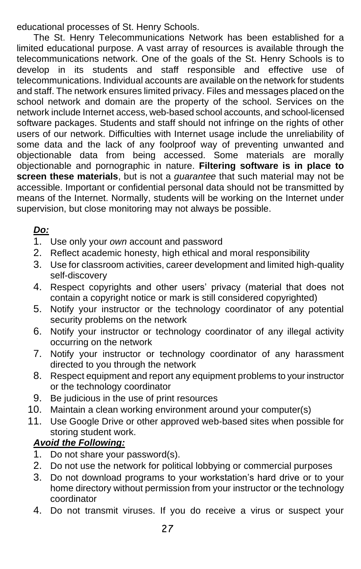educational processes of St. Henry Schools.

The St. Henry Telecommunications Network has been established for a limited educational purpose. A vast array of resources is available through the telecommunications network. One of the goals of the St. Henry Schools is to develop in its students and staff responsible and effective use of telecommunications. Individual accounts are available on the network for students and staff. The network ensures limited privacy. Files and messages placed on the school network and domain are the property of the school. Services on the network include Internet access, web-based school accounts, and school-licensed software packages. Students and staff should not infringe on the rights of other users of our network. Difficulties with Internet usage include the unreliability of some data and the lack of any foolproof way of preventing unwanted and objectionable data from being accessed. Some materials are morally objectionable and pornographic in nature. **Filtering software is in place to screen these materials**, but is not a *guarantee* that such material may not be accessible. Important or confidential personal data should not be transmitted by means of the Internet. Normally, students will be working on the Internet under supervision, but close monitoring may not always be possible.

# *Do:*

- 1. Use only your *own* account and password
- 2. Reflect academic honesty, high ethical and moral responsibility
- 3. Use for classroom activities, career development and limited high-quality self-discovery
- 4. Respect copyrights and other users' privacy (material that does not contain a copyright notice or mark is still considered copyrighted)
- 5. Notify your instructor or the technology coordinator of any potential security problems on the network
- 6. Notify your instructor or technology coordinator of any illegal activity occurring on the network
- 7. Notify your instructor or technology coordinator of any harassment directed to you through the network
- 8. Respect equipment and report any equipment problems to your instructor or the technology coordinator
- 9. Be judicious in the use of print resources
- 10. Maintain a clean working environment around your computer(s)
- 11. Use Google Drive or other approved web-based sites when possible for storing student work.

# *Avoid the Following:*

- 1. Do not share your password(s).
- 2. Do not use the network for political lobbying or commercial purposes
- 3. Do not download programs to your workstation's hard drive or to your home directory without permission from your instructor or the technology coordinator
- 4. Do not transmit viruses. If you do receive a virus or suspect your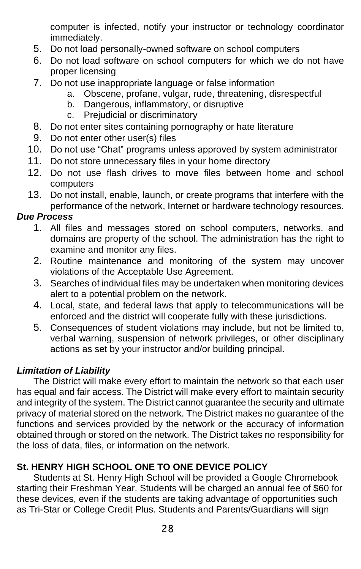computer is infected, notify your instructor or technology coordinator immediately.

- 5. Do not load personally-owned software on school computers
- 6. Do not load software on school computers for which we do not have proper licensing
- 7. Do not use inappropriate language or false information
	- a. Obscene, profane, vulgar, rude, threatening, disrespectful
	- b. Dangerous, inflammatory, or disruptive
	- c. Prejudicial or discriminatory
- 8. Do not enter sites containing pornography or hate literature
- 9. Do not enter other user(s) files
- 10. Do not use "Chat" programs unless approved by system administrator
- 11. Do not store unnecessary files in your home directory
- 12. Do not use flash drives to move files between home and school computers
- 13. Do not install, enable, launch, or create programs that interfere with the performance of the network, Internet or hardware technology resources.

## *Due Process*

- 1. All files and messages stored on school computers, networks, and domains are property of the school. The administration has the right to examine and monitor any files.
- 2. Routine maintenance and monitoring of the system may uncover violations of the Acceptable Use Agreement.
- 3. Searches of individual files may be undertaken when monitoring devices alert to a potential problem on the network.
- 4. Local, state, and federal laws that apply to telecommunications will be enforced and the district will cooperate fully with these jurisdictions.
- 5. Consequences of student violations may include, but not be limited to, verbal warning, suspension of network privileges, or other disciplinary actions as set by your instructor and/or building principal.

## *Limitation of Liability*

The District will make every effort to maintain the network so that each user has equal and fair access. The District will make every effort to maintain security and integrity of the system. The District cannot guarantee the security and ultimate privacy of material stored on the network. The District makes no guarantee of the functions and services provided by the network or the accuracy of information obtained through or stored on the network. The District takes no responsibility for the loss of data, files, or information on the network.

# **St. HENRY HIGH SCHOOL ONE TO ONE DEVICE POLICY**

Students at St. Henry High School will be provided a Google Chromebook starting their Freshman Year. Students will be charged an annual fee of \$60 for these devices, even if the students are taking advantage of opportunities such as Tri-Star or College Credit Plus. Students and Parents/Guardians will sign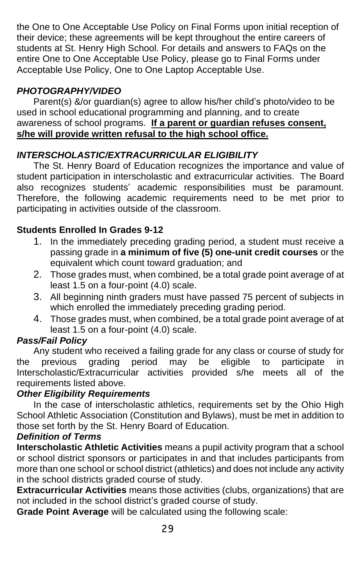the One to One Acceptable Use Policy on Final Forms upon initial reception of their device; these agreements will be kept throughout the entire careers of students at St. Henry High School. For details and answers to FAQs on the entire One to One Acceptable Use Policy, please go to Final Forms under Acceptable Use Policy, One to One Laptop Acceptable Use.

# *PHOTOGRAPHY/VIDEO*

Parent(s) &/or guardian(s) agree to allow his/her child's photo/video to be used in school educational programming and planning, and to create awareness of school programs. **If a parent or guardian refuses consent, s/he will provide written refusal to the high school office.**

## *INTERSCHOLASTIC/EXTRACURRICULAR ELIGIBILITY*

The St. Henry Board of Education recognizes the importance and value of student participation in interscholastic and extracurricular activities. The Board also recognizes students' academic responsibilities must be paramount. Therefore, the following academic requirements need to be met prior to participating in activities outside of the classroom.

## **Students Enrolled In Grades 9-12**

- 1. In the immediately preceding grading period, a student must receive a passing grade in **a minimum of five (5) one-unit credit courses** or the equivalent which count toward graduation; and
- 2. Those grades must, when combined, be a total grade point average of at least 1.5 on a four-point (4.0) scale.
- 3. All beginning ninth graders must have passed 75 percent of subjects in which enrolled the immediately preceding grading period.
- 4. Those grades must, when combined, be a total grade point average of at least 1.5 on a four-point (4.0) scale.

## *Pass/Fail Policy*

Any student who received a failing grade for any class or course of study for the previous grading period may be eligible to participate in Interscholastic/Extracurricular activities provided s/he meets all of the requirements listed above.

#### *Other Eligibility Requirements*

In the case of interscholastic athletics, requirements set by the Ohio High School Athletic Association (Constitution and Bylaws), must be met in addition to those set forth by the St. Henry Board of Education.

#### *Definition of Terms*

**Interscholastic Athletic Activities** means a pupil activity program that a school or school district sponsors or participates in and that includes participants from more than one school or school district (athletics) and does not include any activity in the school districts graded course of study.

**Extracurricular Activities** means those activities (clubs, organizations) that are not included in the school district's graded course of study.

**Grade Point Average** will be calculated using the following scale: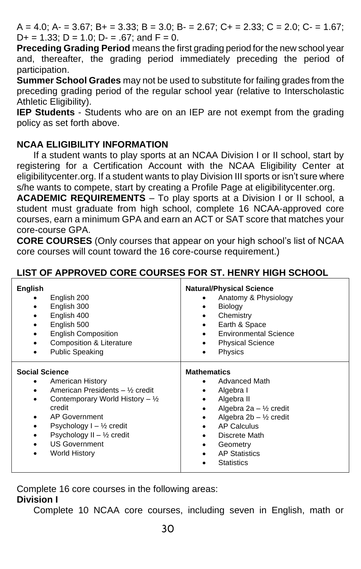$A = 4.0$ ;  $A = 3.67$ ;  $B = 3.33$ ;  $B = 3.0$ ;  $B = 2.67$ ;  $C + 2.33$ ;  $C = 2.0$ ;  $C = 1.67$ ;  $D+ = 1.33$ ;  $D = 1.0$ ;  $D- = .67$ ; and  $F = 0$ .

**Preceding Grading Period** means the first grading period for the new school year and, thereafter, the grading period immediately preceding the period of participation.

**Summer School Grades** may not be used to substitute for failing grades from the preceding grading period of the regular school year (relative to Interscholastic Athletic Eligibility).

**IEP Students** - Students who are on an IEP are not exempt from the grading policy as set forth above.

#### **NCAA ELIGIBILITY INFORMATION**

If a student wants to play sports at an NCAA Division I or II school, start by registering for a Certification Account with the NCAA Eligibility Center at eligibilitycenter.org. If a student wants to play Division III sports or isn't sure where s/he wants to compete, start by creating a Profile Page at eligibilitycenter.org.

**ACADEMIC REQUIREMENTS** – To play sports at a Division I or II school, a student must graduate from high school, complete 16 NCAA-approved core courses, earn a minimum GPA and earn an ACT or SAT score that matches your core-course GPA.

**CORE COURSES** (Only courses that appear on your high school's list of NCAA core courses will count toward the 16 core-course requirement.)

| English<br>English 200<br>English 300<br>English 400<br>English 500<br><b>English Composition</b><br>Composition & Literature<br><b>Public Speaking</b><br>٠                                                                                                                                               | <b>Natural/Physical Science</b><br>Anatomy & Physiology<br><b>Biology</b><br>Chemistry<br>Earth & Space<br><b>Environmental Science</b><br><b>Physical Science</b><br>Physics                                                            |
|------------------------------------------------------------------------------------------------------------------------------------------------------------------------------------------------------------------------------------------------------------------------------------------------------------|------------------------------------------------------------------------------------------------------------------------------------------------------------------------------------------------------------------------------------------|
| <b>Social Science</b><br><b>American History</b><br>American Presidents - 1/ <sub>2</sub> credit<br>Contemporary World History $-$ 1/ <sub>2</sub><br>credit<br>AP Government<br>٠<br>Psychology $I - \frac{1}{2}$ credit<br>Psychology II - 1/2 credit<br>٠<br><b>US Government</b><br>World History<br>٠ | <b>Mathematics</b><br><b>Advanced Math</b><br>Algebra I<br>Algebra II<br>Algebra 2a - $\frac{1}{2}$ credit<br>Algebra $2b - \frac{1}{2}$ credit<br>AP Calculus<br>Discrete Math<br>Geometry<br><b>AP Statistics</b><br><b>Statistics</b> |

## **LIST OF APPROVED CORE COURSES FOR ST. HENRY HIGH SCHOOL**

Complete 16 core courses in the following areas:

#### **Division I**

Complete 10 NCAA core courses, including seven in English, math or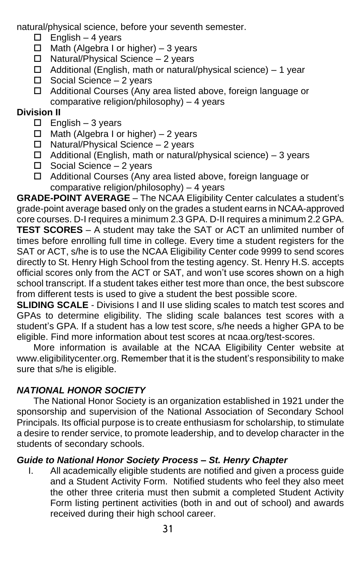natural/physical science, before your seventh semester.

- $\Box$  English 4 years
- $\Box$  Math (Algebra I or higher) 3 years
- $\Box$  Natural/Physical Science 2 years
- $\Box$  Additional (English, math or natural/physical science) 1 year
- $\square$  Social Science 2 years
- □ Additional Courses (Any area listed above, foreign language or comparative religion/philosophy) – 4 years

# **Division II**

- $\Box$  English 3 years
- $\Box$  Math (Algebra I or higher) 2 years
- $\Box$  Natural/Physical Science 2 years
- $\Box$  Additional (English, math or natural/physical science) 3 years
- $\square$  Social Science 2 years
- □ Additional Courses (Any area listed above, foreign language or comparative religion/philosophy) – 4 years

**GRADE-POINT AVERAGE** – The NCAA Eligibility Center calculates a student's grade-point average based only on the grades a student earns in NCAA-approved core courses. D-I requires a minimum 2.3 GPA. D-II requires a minimum 2.2 GPA. **TEST SCORES** – A student may take the SAT or ACT an unlimited number of times before enrolling full time in college. Every time a student registers for the SAT or ACT, s/he is to use the NCAA Eligibility Center code 9999 to send scores directly to St. Henry High School from the testing agency. St. Henry H.S. accepts official scores only from the ACT or SAT, and won't use scores shown on a high school transcript. If a student takes either test more than once, the best subscore from different tests is used to give a student the best possible score.

**SLIDING SCALE** - Divisions I and II use sliding scales to match test scores and GPAs to determine eligibility. The sliding scale balances test scores with a student's GPA. If a student has a low test score, s/he needs a higher GPA to be eligible. Find more information about test scores at ncaa.org/test-scores.

More information is available at the NCAA Eligibility Center website at www.eligibilitycenter.org. Remember that it is the student's responsibility to make sure that s/he is eligible.

# *NATIONAL HONOR SOCIETY*

The National Honor Society is an organization established in 1921 under the sponsorship and supervision of the National Association of Secondary School Principals. Its official purpose is to create enthusiasm for scholarship, to stimulate a desire to render service, to promote leadership, and to develop character in the students of secondary schools.

# *Guide to National Honor Society Process – St. Henry Chapter*

I. All academically eligible students are notified and given a process guide and a Student Activity Form. Notified students who feel they also meet the other three criteria must then submit a completed Student Activity Form listing pertinent activities (both in and out of school) and awards received during their high school career.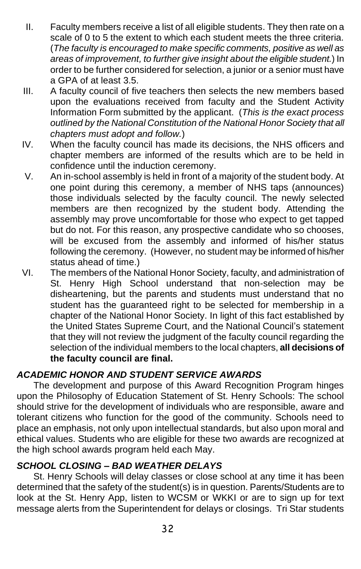- II. Faculty members receive a list of all eligible students. They then rate on a scale of 0 to 5 the extent to which each student meets the three criteria. (*The faculty is encouraged to make specific comments, positive as well as areas of improvement, to further give insight about the eligible student.*) In order to be further considered for selection, a junior or a senior must have a GPA of at least 3.5.
- III. A faculty council of five teachers then selects the new members based upon the evaluations received from faculty and the Student Activity Information Form submitted by the applicant. (*This is the exact process outlined by the National Constitution of the National Honor Society that all chapters must adopt and follow.*)
- IV. When the faculty council has made its decisions, the NHS officers and chapter members are informed of the results which are to be held in confidence until the induction ceremony.
- V. An in-school assembly is held in front of a majority of the student body. At one point during this ceremony, a member of NHS taps (announces) those individuals selected by the faculty council. The newly selected members are then recognized by the student body. Attending the assembly may prove uncomfortable for those who expect to get tapped but do not. For this reason, any prospective candidate who so chooses, will be excused from the assembly and informed of his/her status following the ceremony. (However, no student may be informed of his/her status ahead of time.)
- VI. The members of the National Honor Society, faculty, and administration of St. Henry High School understand that non-selection may be disheartening, but the parents and students must understand that no student has the guaranteed right to be selected for membership in a chapter of the National Honor Society. In light of this fact established by the United States Supreme Court, and the National Council's statement that they will not review the judgment of the faculty council regarding the selection of the individual members to the local chapters, **all decisions of the faculty council are final.**

#### *ACADEMIC HONOR AND STUDENT SERVICE AWARDS*

The development and purpose of this Award Recognition Program hinges upon the Philosophy of Education Statement of St. Henry Schools: The school should strive for the development of individuals who are responsible, aware and tolerant citizens who function for the good of the community. Schools need to place an emphasis, not only upon intellectual standards, but also upon moral and ethical values. Students who are eligible for these two awards are recognized at the high school awards program held each May.

## *SCHOOL CLOSING – BAD WEATHER DELAYS*

St. Henry Schools will delay classes or close school at any time it has been determined that the safety of the student(s) is in question. Parents/Students are to look at the St. Henry App, listen to WCSM or WKKI or are to sign up for text message alerts from the Superintendent for delays or closings. Tri Star students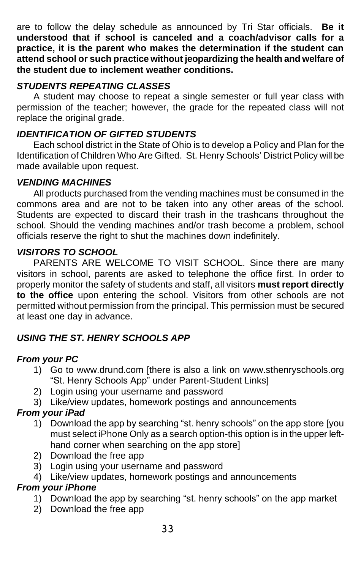are to follow the delay schedule as announced by Tri Star officials. **Be it understood that if school is canceled and a coach/advisor calls for a practice, it is the parent who makes the determination if the student can attend school or such practice without jeopardizing the health and welfare of the student due to inclement weather conditions.** 

## *STUDENTS REPEATING CLASSES*

A student may choose to repeat a single semester or full year class with permission of the teacher; however, the grade for the repeated class will not replace the original grade.

## *IDENTIFICATION OF GIFTED STUDENTS*

Each school district in the State of Ohio is to develop a Policy and Plan for the Identification of Children Who Are Gifted. St. Henry Schools' District Policy will be made available upon request.

## *VENDING MACHINES*

All products purchased from the vending machines must be consumed in the commons area and are not to be taken into any other areas of the school. Students are expected to discard their trash in the trashcans throughout the school. Should the vending machines and/or trash become a problem, school officials reserve the right to shut the machines down indefinitely.

## *VISITORS TO SCHOOL*

PARENTS ARE WELCOME TO VISIT SCHOOL. Since there are many visitors in school, parents are asked to telephone the office first. In order to properly monitor the safety of students and staff, all visitors **must report directly to the office** upon entering the school. Visitors from other schools are not permitted without permission from the principal. This permission must be secured at least one day in advance.

## *USING THE ST. HENRY SCHOOLS APP*

#### *From your PC*

- 1) Go to www.drund.com [there is also a link on www.sthenryschools.org "St. Henry Schools App" under Parent-Student Links]
- 2) Login using your username and password
- 3) Like/view updates, homework postings and announcements

## *From your iPad*

- 1) Download the app by searching "st. henry schools" on the app store [you must select iPhone Only as a search option-this option is in the upper lefthand corner when searching on the app store]
- 2) Download the free app
- 3) Login using your username and password
- 4) Like/view updates, homework postings and announcements

#### *From your iPhone*

- 1) Download the app by searching "st. henry schools" on the app market
- 2) Download the free app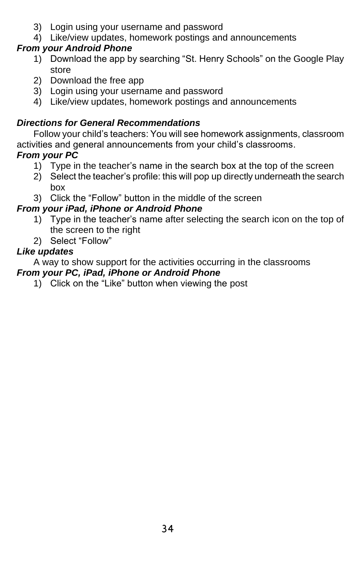- 3) Login using your username and password
- 4) Like/view updates, homework postings and announcements

# *From your Android Phone*

- 1) Download the app by searching "St. Henry Schools" on the Google Play store
- 2) Download the free app
- 3) Login using your username and password
- 4) Like/view updates, homework postings and announcements

# *Directions for General Recommendations*

Follow your child's teachers: You will see homework assignments, classroom activities and general announcements from your child's classrooms. *From your PC*

- 1) Type in the teacher's name in the search box at the top of the screen
- 2) Select the teacher's profile: this will pop up directly underneath the search box
- 3) Click the "Follow" button in the middle of the screen

# *From your iPad, iPhone or Android Phone*

- 1) Type in the teacher's name after selecting the search icon on the top of the screen to the right
- 2) Select "Follow"

# *Like updates*

A way to show support for the activities occurring in the classrooms *From your PC, iPad, iPhone or Android Phone*

1) Click on the "Like" button when viewing the post